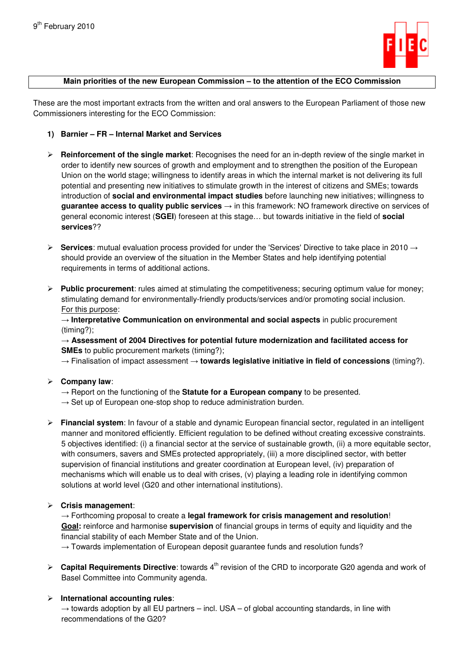

#### **Main priorities of the new European Commission – to the attention of the ECO Commission**

These are the most important extracts from the written and oral answers to the European Parliament of those new Commissioners interesting for the ECO Commission:

- **1) Barnier FR Internal Market and Services**
- **Reinforcement of the single market**: Recognises the need for an in-depth review of the single market in order to identify new sources of growth and employment and to strengthen the position of the European Union on the world stage; willingness to identify areas in which the internal market is not delivering its full potential and presenting new initiatives to stimulate growth in the interest of citizens and SMEs; towards introduction of **social and environmental impact studies** before launching new initiatives; willingness to **guarantee access to quality public services** → in this framework: NO framework directive on services of general economic interest (**SGEI**) foreseen at this stage… but towards initiative in the field of **social services**??
- **Services**: mutual evaluation process provided for under the 'Services' Directive to take place in 2010 → should provide an overview of the situation in the Member States and help identifying potential requirements in terms of additional actions.
- **Public procurement**: rules aimed at stimulating the competitiveness; securing optimum value for money; stimulating demand for environmentally-friendly products/services and/or promoting social inclusion. For this purpose:

→ **Interpretative Communication on environmental and social aspects** in public procurement (timing?);

→ **Assessment of 2004 Directives for potential future modernization and facilitated access for SMEs** to public procurement markets (timing?);

→ Finalisation of impact assessment → **towards legislative initiative in field of concessions** (timing?).

#### **Company law**:

- $\rightarrow$  Report on the functioning of the **Statute for a European company** to be presented.
- $\rightarrow$  Set up of European one-stop shop to reduce administration burden.
- **Financial system**: In favour of a stable and dynamic European financial sector, regulated in an intelligent manner and monitored efficiently. Efficient regulation to be defined without creating excessive constraints. 5 objectives identified: (i) a financial sector at the service of sustainable growth, (ii) a more equitable sector, with consumers, savers and SMEs protected appropriately, (iii) a more disciplined sector, with better supervision of financial institutions and greater coordination at European level, (iv) preparation of mechanisms which will enable us to deal with crises, (v) playing a leading role in identifying common solutions at world level (G20 and other international institutions).

#### **Crisis management**:

→ Forthcoming proposal to create a **legal framework for crisis management and resolution**! **Goal:** reinforce and harmonise **supervision** of financial groups in terms of equity and liquidity and the financial stability of each Member State and of the Union.

 $\rightarrow$  Towards implementation of European deposit guarantee funds and resolution funds?

**Exapital Requirements Directive**: towards 4<sup>th</sup> revision of the CRD to incorporate G20 agenda and work of Basel Committee into Community agenda.

#### **International accounting rules**:

 $\rightarrow$  towards adoption by all EU partners – incl. USA – of global accounting standards, in line with recommendations of the G20?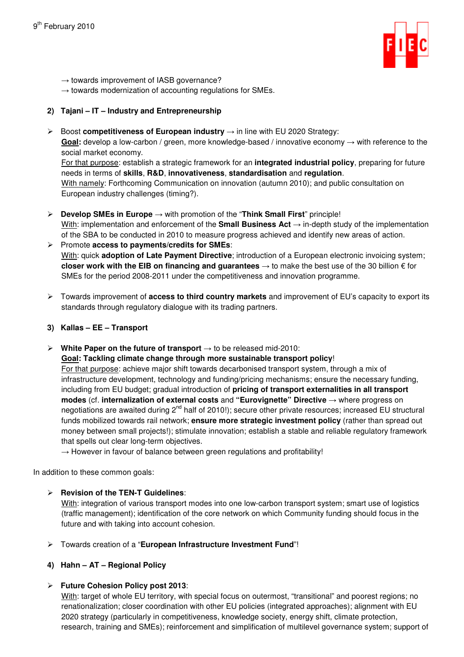

 $\rightarrow$  towards improvement of IASB governance?

 $\rightarrow$  towards modernization of accounting regulations for SMEs.

## **2) Tajani – IT – Industry and Entrepreneurship**

Boost **competitiveness of European industry** → in line with EU 2020 Strategy:

Goal: develop a low-carbon / green, more knowledge-based / innovative economy → with reference to the social market economy.

For that purpose: establish a strategic framework for an **integrated industrial policy**, preparing for future needs in terms of **skills**, **R&D**, **innovativeness**, **standardisation** and **regulation**.

With namely: Forthcoming Communication on innovation (autumn 2010); and public consultation on European industry challenges (timing?).

- **Develop SMEs in Europe** → with promotion of the "**Think Small First**" principle! With: implementation and enforcement of the **Small Business Act** → in-depth study of the implementation of the SBA to be conducted in 2010 to measure progress achieved and identify new areas of action.
- Promote **access to payments/credits for SMEs**: With: quick **adoption of Late Payment Directive**; introduction of a European electronic invoicing system; **closer work with the EIB on financing and guarantees** → to make the best use of the 30 billion € for SMEs for the period 2008-2011 under the competitiveness and innovation programme.
- Towards improvement of **access to third country markets** and improvement of EU's capacity to export its standards through regulatory dialogue with its trading partners.
- **3) Kallas EE Transport**
- **White Paper on the future of transport** → to be released mid-2010:

**Goal: Tackling climate change through more sustainable transport policy**!

For that purpose: achieve major shift towards decarbonised transport system, through a mix of infrastructure development, technology and funding/pricing mechanisms; ensure the necessary funding, including from EU budget; gradual introduction of **pricing of transport externalities in all transport modes** (cf. **internalization of external costs** and **"Eurovignette" Directive** → where progress on negotiations are awaited during  $2^{nd}$  half of 2010!); secure other private resources; increased EU structural funds mobilized towards rail network; **ensure more strategic investment policy** (rather than spread out money between small projects!); stimulate innovation; establish a stable and reliable regulatory framework that spells out clear long-term objectives.

 $\rightarrow$  However in favour of balance between green regulations and profitability!

In addition to these common goals:

## **Revision of the TEN-T Guidelines**:

With: integration of various transport modes into one low-carbon transport system; smart use of logistics (traffic management); identification of the core network on which Community funding should focus in the future and with taking into account cohesion.

- Towards creation of a "**European Infrastructure Investment Fund**"!
- **4) Hahn AT Regional Policy**

## **Future Cohesion Policy post 2013**:

With: target of whole EU territory, with special focus on outermost, "transitional" and poorest regions; no renationalization; closer coordination with other EU policies (integrated approaches); alignment with EU 2020 strategy (particularly in competitiveness, knowledge society, energy shift, climate protection, research, training and SMEs); reinforcement and simplification of multilevel governance system; support of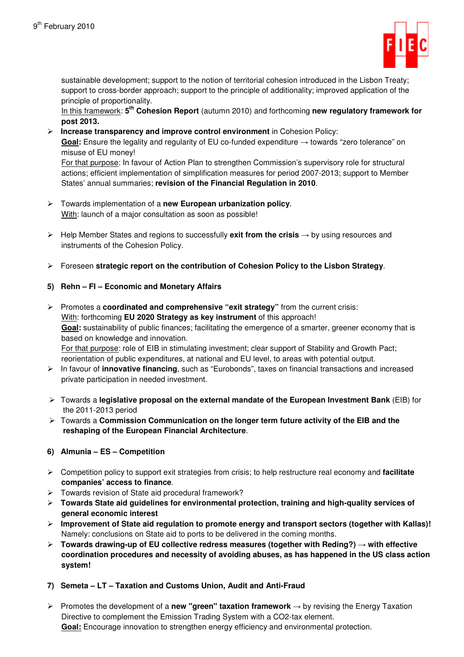

sustainable development; support to the notion of territorial cohesion introduced in the Lisbon Treaty; support to cross-border approach; support to the principle of additionality; improved application of the principle of proportionality.

In this framework: **5 th Cohesion Report** (autumn 2010) and forthcoming **new regulatory framework for post 2013.**

 **Increase transparency and improve control environment** in Cohesion Policy: Goal: Ensure the legality and regularity of EU co-funded expenditure → towards "zero tolerance" on misuse of EU money!

For that purpose: In favour of Action Plan to strengthen Commission's supervisory role for structural actions; efficient implementation of simplification measures for period 2007-2013; support to Member States' annual summaries; **revision of the Financial Regulation in 2010**.

- Towards implementation of a **new European urbanization policy**. With: launch of a major consultation as soon as possible!
- Help Member States and regions to successfully **exit from the crisis** → by using resources and instruments of the Cohesion Policy.
- Foreseen **strategic report on the contribution of Cohesion Policy to the Lisbon Strategy**.

# **5) Rehn – FI – Economic and Monetary Affairs**

- Promotes a **coordinated and comprehensive "exit strategy"** from the current crisis: With: forthcoming **EU 2020 Strategy as key instrument** of this approach! **Goal:** sustainability of public finances; facilitating the emergence of a smarter, greener economy that is based on knowledge and innovation. For that purpose: role of EIB in stimulating investment; clear support of Stability and Growth Pact; reorientation of public expenditures, at national and EU level, to areas with potential output.
- In favour of **innovative financing**, such as "Eurobonds", taxes on financial transactions and increased private participation in needed investment.
- Towards a **legislative proposal on the external mandate of the European Investment Bank** (EIB) for the 2011-2013 period
- Towards a **Commission Communication on the longer term future activity of the EIB and the reshaping of the European Financial Architecture**.

## **6) Almunia – ES – Competition**

- Competition policy to support exit strategies from crisis; to help restructure real economy and **facilitate companies' access to finance**.
- Towards revision of State aid procedural framework?
- **Towards State aid guidelines for environmental protection, training and high-quality services of general economic interest**
- **Improvement of State aid regulation to promote energy and transport sectors (together with Kallas)!**  Namely: conclusions on State aid to ports to be delivered in the coming months.
- **Towards drawing-up of EU collective redress measures (together with Reding?)** → **with effective coordination procedures and necessity of avoiding abuses, as has happened in the US class action system!**
- **7) Semeta LT Taxation and Customs Union, Audit and Anti-Fraud**
- Promotes the development of a **new "green" taxation framework** → by revising the Energy Taxation Directive to complement the Emission Trading System with a CO2-tax element. **Goal:** Encourage innovation to strengthen energy efficiency and environmental protection.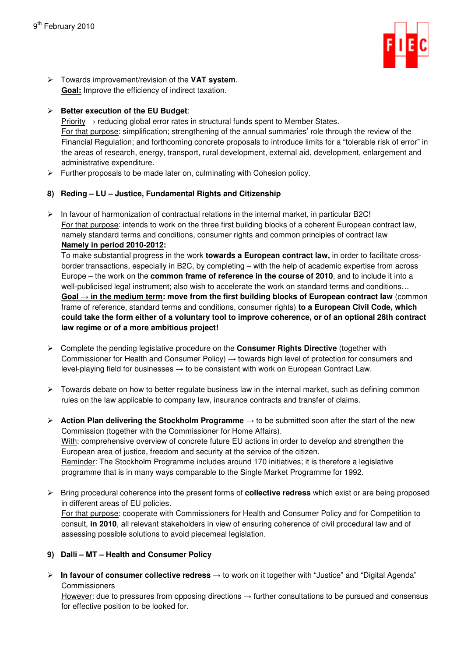

 Towards improvement/revision of the **VAT system**. **Goal:** Improve the efficiency of indirect taxation.

# **Better execution of the EU Budget**:

Priority → reducing global error rates in structural funds spent to Member States. For that purpose: simplification; strengthening of the annual summaries' role through the review of the Financial Regulation; and forthcoming concrete proposals to introduce limits for a "tolerable risk of error" in the areas of research, energy, transport, rural development, external aid, development, enlargement and administrative expenditure.

 $\triangleright$  Further proposals to be made later on, culminating with Cohesion policy.

# **8) Reding – LU – Justice, Fundamental Rights and Citizenship**

 $\triangleright$  In favour of harmonization of contractual relations in the internal market, in particular B2C! For that purpose: intends to work on the three first building blocks of a coherent European contract law, namely standard terms and conditions, consumer rights and common principles of contract law **Namely in period 2010-2012:** 

To make substantial progress in the work **towards a European contract law,** in order to facilitate crossborder transactions, especially in B2C, by completing – with the help of academic expertise from across Europe – the work on the **common frame of reference in the course of 2010**, and to include it into a well-publicised legal instrument; also wish to accelerate the work on standard terms and conditions... Goal → in the medium term: move from the first building blocks of European contract law (common frame of reference, standard terms and conditions, consumer rights) **to a European Civil Code, which could take the form either of a voluntary tool to improve coherence, or of an optional 28th contract law regime or of a more ambitious project!** 

- Complete the pending legislative procedure on the **Consumer Rights Directive** (together with Commissioner for Health and Consumer Policy)  $\rightarrow$  towards high level of protection for consumers and level-playing field for businesses  $\rightarrow$  to be consistent with work on European Contract Law.
- $\triangleright$  Towards debate on how to better regulate business law in the internal market, such as defining common rules on the law applicable to company law, insurance contracts and transfer of claims.
- **Action Plan delivering the Stockholm Programme** → to be submitted soon after the start of the new Commission (together with the Commissioner for Home Affairs). With: comprehensive overview of concrete future EU actions in order to develop and strengthen the European area of justice, freedom and security at the service of the citizen. Reminder: The Stockholm Programme includes around 170 initiatives; it is therefore a legislative programme that is in many ways comparable to the Single Market Programme for 1992.
- Bring procedural coherence into the present forms of **collective redress** which exist or are being proposed in different areas of EU policies. For that purpose: cooperate with Commissioners for Health and Consumer Policy and for Competition to consult, **in 2010**, all relevant stakeholders in view of ensuring coherence of civil procedural law and of assessing possible solutions to avoid piecemeal legislation.

# **9) Dalli – MT – Health and Consumer Policy**

 **In favour of consumer collective redress** → to work on it together with "Justice" and "Digital Agenda" **Commissioners** 

However: due to pressures from opposing directions → further consultations to be pursued and consensus for effective position to be looked for.